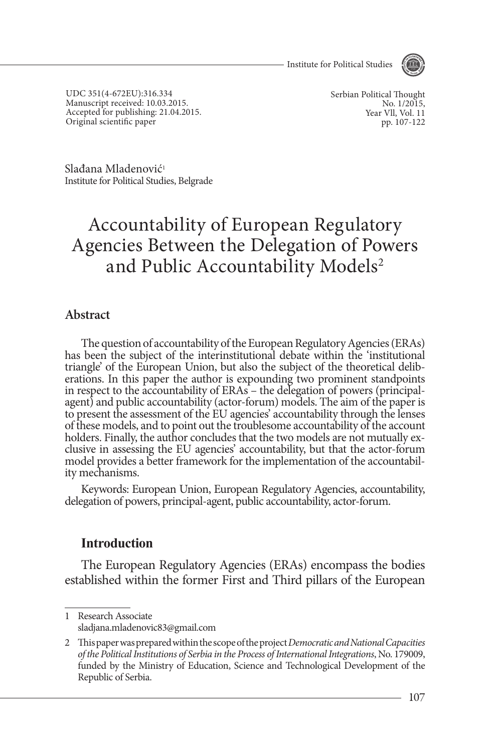- Institute for Political Studies



UDC 351(4-672EU):316.334 Manuscript received: 10.03.2015. Accepted for publishing: 21.04.2015. Original scientific paper

Serbian Political Thought No. 1/2015, Year Vll, Vol. 11 pp. 107-122

Slađana Mladenović<sup>1</sup> Institute for Political Studies, Belgrade

# Accountability of European Regulatory Agencies Between the Delegation of Powers and Public Accountability Models<sup>2</sup>

#### **Abstract**

The question of accountability of the European Regulatory Agencies (ERAs) has been the subject of the interinstitutional debate within the 'institutional triangle' of the European Union, but also the subject of the theoret erations. In this paper the author is expounding two prominent standpoints in respect to the accountability of ERAs – the delegation of powers (principalagent) and public accountability (actor-forum) models. The aim of the paper is to present the assessment of the EU agencies' accountability through the lenses of these models, and to point out the troublesome accountability of the account<br>holders. Finally, the author concludes that the two models are not mutually exclusive in assessing the EU agencies' accountability, but that the actor-forum model provides a better framework for the implementation of the accountabil- ity mechanisms.

Keywords: European Union, European Regulatory Agencies, accountability, delegation of powers, principal-agent, public accountability, actor-forum.

### **Introduction**

The European Regulatory Agencies (ERAs) encompass the bodies established within the former First and Third pillars of the European

<sup>1</sup> Research Associate sladjana.mladenovic83@gmail.com

<sup>2</sup> This paper was prepared within the scope of the project *Democratic and National Capacities of the Political Institutions of Serbia in the Process of International Integrations*, No. 179009, funded by the Ministry of Education, Science and Technological Development of the Republic of Serbia.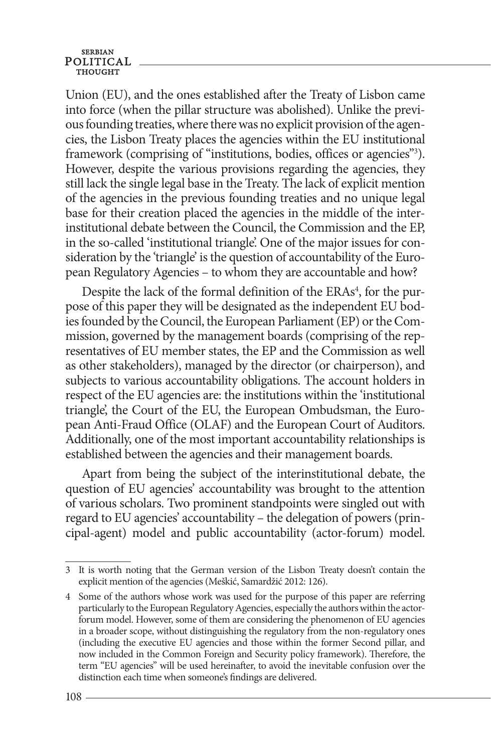Union (EU), and the ones established after the Treaty of Lisbon came into force (when the pillar structure was abolished). Unlike the previous founding treaties, where there was no explicit provision of the agencies, the Lisbon Treaty places the agencies within the EU institutional framework (comprising of "institutions, bodies, offices or agencies"<sup>3</sup>). However, despite the various provisions regarding the agencies, they still lack the single legal base in the Treaty. The lack of explicit mention of the agencies in the previous founding treaties and no unique legal base for their creation placed the agencies in the middle of the interinstitutional debate between the Council, the Commission and the EP, in the so-called 'institutional triangle'. One of the major issues for consideration by the 'triangle' is the question of accountability of the European Regulatory Agencies – to whom they are accountable and how?

Despite the lack of the formal definition of the ERAs<sup>4</sup>, for the purpose of this paper they will be designated as the independent EU bodies founded by the Council, the European Parliament (EP) or the Commission, governed by the management boards (comprising of the representatives of EU member states, the EP and the Commission as well as other stakeholders), managed by the director (or chairperson), and subjects to various accountability obligations. The account holders in respect of the EU agencies are: the institutions within the 'institutional triangle', the Court of the EU, the European Ombudsman, the European Anti-Fraud Office (OLAF) and the European Court of Auditors. Additionally, one of the most important accountability relationships is established between the agencies and their management boards.

Apart from being the subject of the interinstitutional debate, the question of EU agencies' accountability was brought to the attention of various scholars. Two prominent standpoints were singled out with regard to EU agencies' accountability – the delegation of powers (principal-agent) model and public accountability (actor-forum) model.

<sup>3</sup> It is worth noting that the German version of the Lisbon Treaty doesn't contain the explicit mention of the agencies (Meškić, Samardžić 2012: 126).

<sup>4</sup> Some of the authors whose work was used for the purpose of this paper are referring particularly to the European Regulatory Agencies, especially the authors within the actorforum model. However, some of them are considering the phenomenon of EU agencies in a broader scope, without distinguishing the regulatory from the non-regulatory ones (including the executive EU agencies and those within the former Second pillar, and now included in the Common Foreign and Security policy framework). Therefore, the term "EU agencies" will be used hereinafter, to avoid the inevitable confusion over the distinction each time when someone's findings are delivered.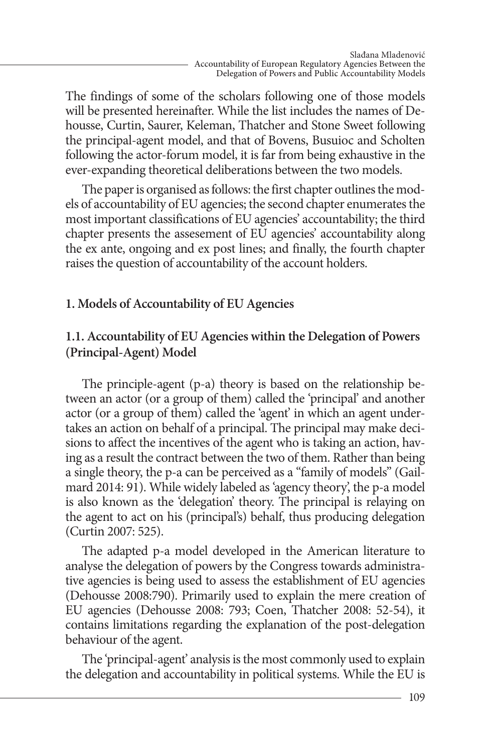The findings of some of the scholars following one of those models will be presented hereinafter. While the list includes the names of Dehousse, Curtin, Saurer, Keleman, Thatcher and Stone Sweet following the principal-agent model, and that of Bovens, Busuioc and Scholten following the actor-forum model, it is far from being exhaustive in the ever-expanding theoretical deliberations between the two models.

The paper is organised as follows: the first chapter outlines the models of accountability of EU agencies; the second chapter enumerates the most important classifications of EU agencies' accountability; the third chapter presents the assesement of EU agencies' accountability along the ex ante, ongoing and ex post lines; and finally, the fourth chapter raises the question of accountability of the account holders.

## **1. Models of Accountability of EU Agencies**

## **1.1. Accountability of EU Agencies within the Delegation of Powers (Principal-Agent) Model**

The principle-agent (p-a) theory is based on the relationship between an actor (or a group of them) called the 'principal' and another actor (or a group of them) called the 'agent' in which an agent undertakes an action on behalf of a principal. The principal may make decisions to affect the incentives of the agent who is taking an action, having as a result the contract between the two of them. Rather than being a single theory, the p-a can be perceived as a "family of models" (Gailmard 2014: 91). While widely labeled as 'agency theory', the p-a model is also known as the 'delegation' theory. The principal is relaying on the agent to act on his (principal's) behalf, thus producing delegation (Curtin 2007: 525).

The adapted p-a model developed in the American literature to analyse the delegation of powers by the Congress towards administrative agencies is being used to assess the establishment of EU agencies (Dehousse 2008:790). Primarily used to explain the mere creation of EU agencies (Dehousse 2008: 793; Coen, Thatcher 2008: 52-54), it contains limitations regarding the explanation of the post-delegation behaviour of the agent.

The 'principal-agent' analysis is the most commonly used to explain the delegation and accountability in political systems. While the EU is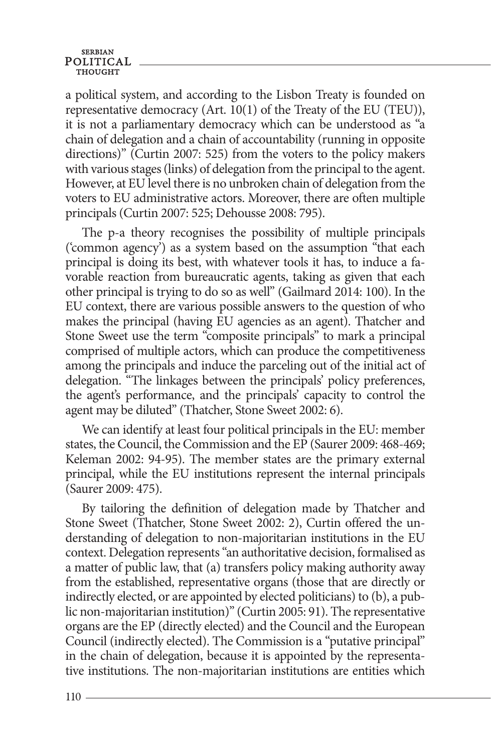a political system, and according to the Lisbon Treaty is founded on representative democracy (Art. 10(1) of the Treaty of the EU (TEU)), it is not a parliamentary democracy which can be understood as "a chain of delegation and a chain of accountability (running in opposite directions)" (Curtin 2007: 525) from the voters to the policy makers with various stages (links) of delegation from the principal to the agent. However, at EU level there is no unbroken chain of delegation from the voters to EU administrative actors. Moreover, there are often multiple principals (Curtin 2007: 525; Dehousse 2008: 795).

The p-a theory recognises the possibility of multiple principals ('common agency') as a system based on the assumption "that each principal is doing its best, with whatever tools it has, to induce a favorable reaction from bureaucratic agents, taking as given that each other principal is trying to do so as well" (Gailmard 2014: 100). In the EU context, there are various possible answers to the question of who makes the principal (having EU agencies as an agent). Thatcher and Stone Sweet use the term "composite principals" to mark a principal comprised of multiple actors, which can produce the competitiveness among the principals and induce the parceling out of the initial act of delegation. "The linkages between the principals' policy preferences, the agent's performance, and the principals' capacity to control the agent may be diluted" (Thatcher, Stone Sweet 2002: 6).

We can identify at least four political principals in the EU: member states, the Council, the Commission and the EP (Saurer 2009: 468-469; Keleman 2002: 94-95). The member states are the primary external principal, while the EU institutions represent the internal principals (Saurer 2009: 475).

By tailoring the definition of delegation made by Thatcher and Stone Sweet (Thatcher, Stone Sweet 2002: 2), Curtin offered the understanding of delegation to non-majoritarian institutions in the EU context. Delegation represents "an authoritative decision, formalised as a matter of public law, that (a) transfers policy making authority away from the established, representative organs (those that are directly or indirectly elected, or are appointed by elected politicians) to (b), a public non-majoritarian institution)" (Curtin 2005: 91). The representative organs are the EP (directly elected) and the Council and the European Council (indirectly elected). The Commission is a "putative principal" in the chain of delegation, because it is appointed by the representative institutions. The non-majoritarian institutions are entities which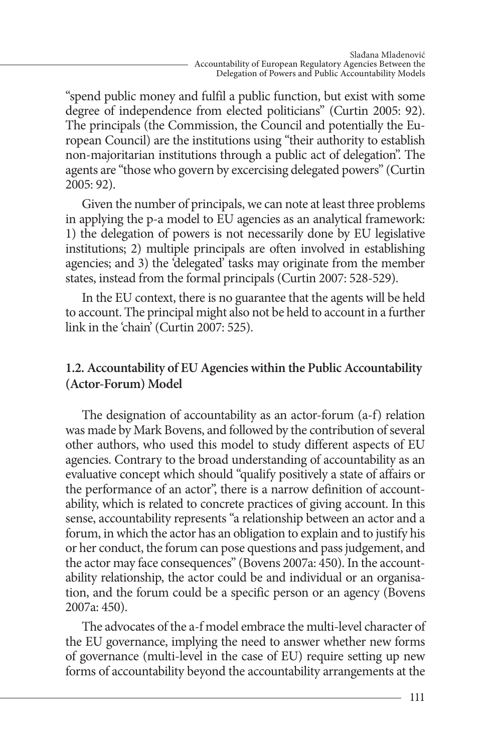"spend public money and fulfil a public function, but exist with some degree of independence from elected politicians" (Curtin 2005: 92). The principals (the Commission, the Council and potentially the European Council) are the institutions using "their authority to establish non-majoritarian institutions through a public act of delegation". The agents are "those who govern by excercising delegated powers" (Curtin 2005: 92).

Given the number of principals, we can note at least three problems in applying the p-a model to EU agencies as an analytical framework: 1) the delegation of powers is not necessarily done by EU legislative institutions; 2) multiple principals are often involved in establishing agencies; and 3) the 'delegated' tasks may originate from the member states, instead from the formal principals (Curtin 2007: 528-529).

In the EU context, there is no guarantee that the agents will be held to account. The principal might also not be held to account in a further link in the 'chain' (Curtin 2007: 525).

## **1.2. Accountability of EU Agencies within the Public Accountability (Actor-Forum) Model**

The designation of accountability as an actor-forum (a-f) relation was made by Mark Bovens, and followed by the contribution of several other authors, who used this model to study different aspects of EU agencies. Contrary to the broad understanding of accountability as an evaluative concept which should "qualify positively a state of affairs or the performance of an actor", there is a narrow definition of accountability, which is related to concrete practices of giving account. In this sense, accountability represents "a relationship between an actor and a forum, in which the actor has an obligation to explain and to justify his or her conduct, the forum can pose questions and pass judgement, and the actor may face consequences" (Bovens 2007a: 450). In the accountability relationship, the actor could be and individual or an organisation, and the forum could be a specific person or an agency (Bovens 2007a: 450).

The advocates of the a-f model embrace the multi-level character of the EU governance, implying the need to answer whether new forms of governance (multi-level in the case of EU) require setting up new forms of accountability beyond the accountability arrangements at the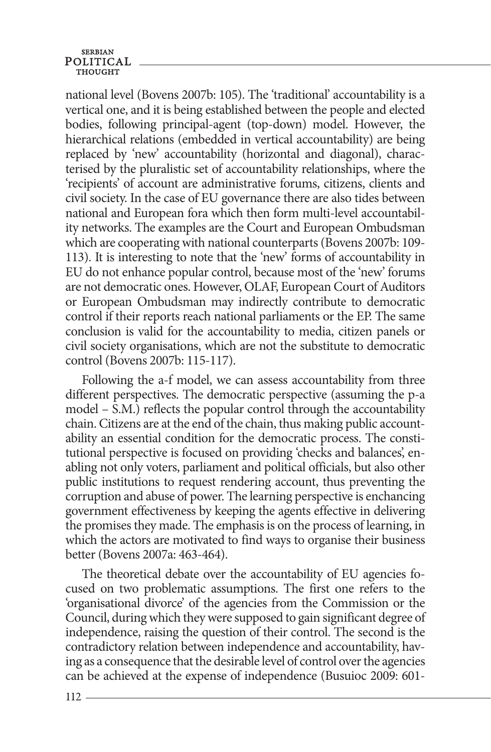## **SERBIAN** POLITICAL

national level (Bovens 2007b: 105). The 'traditional' accountability is a vertical one, and it is being established between the people and elected bodies, following principal-agent (top-down) model. However, the hierarchical relations (embedded in vertical accountability) are being replaced by 'new' accountability (horizontal and diagonal), characterised by the pluralistic set of accountability relationships, where the 'recipients' of account are administrative forums, citizens, clients and civil society. In the case of EU governance there are also tides between national and European fora which then form multi-level accountability networks. The examples are the Court and European Ombudsman which are cooperating with national counterparts (Bovens 2007b: 109- 113). It is interesting to note that the 'new' forms of accountability in EU do not enhance popular control, because most of the 'new' forums are not democratic ones. However, OLAF, European Court of Auditors or European Ombudsman may indirectly contribute to democratic control if their reports reach national parliaments or the EP. The same conclusion is valid for the accountability to media, citizen panels or civil society organisations, which are not the substitute to democratic control (Bovens 2007b: 115-117).

Following the a-f model, we can assess accountability from three different perspectives. The democratic perspective (assuming the p-a model – S.M.) reflects the popular control through the accountability chain. Citizens are at the end of the chain, thus making public accountability an essential condition for the democratic process. The constitutional perspective is focused on providing 'checks and balances', enabling not only voters, parliament and political officials, but also other public institutions to request rendering account, thus preventing the corruption and abuse of power. The learning perspective is enchancing government effectiveness by keeping the agents effective in delivering the promises they made. The emphasis is on the process of learning, in which the actors are motivated to find ways to organise their business better (Bovens 2007a: 463-464).

The theoretical debate over the accountability of EU agencies focused on two problematic assumptions. The first one refers to the 'organisational divorce' of the agencies from the Commission or the Council, during which they were supposed to gain significant degree of independence, raising the question of their control. The second is the contradictory relation between independence and accountability, having as a consequence that the desirable level of control over the agencies can be achieved at the expense of independence (Busuioc 2009: 601-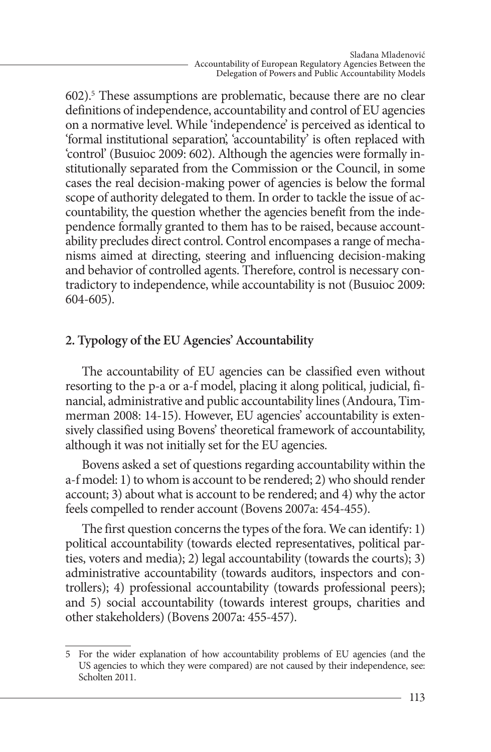602).5 These assumptions are problematic, because there are no clear definitions of independence, accountability and control of EU agencies on a normative level. While 'independence' is perceived as identical to 'formal institutional separation', 'accountability' is often replaced with 'control' (Busuioc 2009: 602). Although the agencies were formally institutionally separated from the Commission or the Council, in some cases the real decision-making power of agencies is below the formal scope of authority delegated to them. In order to tackle the issue of accountability, the question whether the agencies benefit from the independence formally granted to them has to be raised, because accountability precludes direct control. Control encompases a range of mechanisms aimed at directing, steering and influencing decision-making and behavior of controlled agents. Therefore, control is necessary contradictory to independence, while accountability is not (Busuioc 2009: 604-605).

## **2. Typology of the EU Agencies' Accountability**

The accountability of EU agencies can be classified even without resorting to the p-a or a-f model, placing it along political, judicial, financial, administrative and public accountability lines (Andoura, Timmerman 2008: 14-15). However, EU agencies' accountability is extensively classified using Bovens' theoretical framework of accountability, although it was not initially set for the EU agencies.

Bovens asked a set of questions regarding accountability within the a-f model: 1) to whom is account to be rendered; 2) who should render account; 3) about what is account to be rendered; and 4) why the actor feels compelled to render account (Bovens 2007a: 454-455).

The first question concerns the types of the fora. We can identify: 1) political accountability (towards elected representatives, political parties, voters and media); 2) legal accountability (towards the courts); 3) administrative accountability (towards auditors, inspectors and controllers); 4) professional accountability (towards professional peers); and 5) social accountability (towards interest groups, charities and other stakeholders) (Bovens 2007a: 455-457).

<sup>5</sup> For the wider explanation of how accountability problems of EU agencies (and the US agencies to which they were compared) are not caused by their independence, see: Scholten 2011.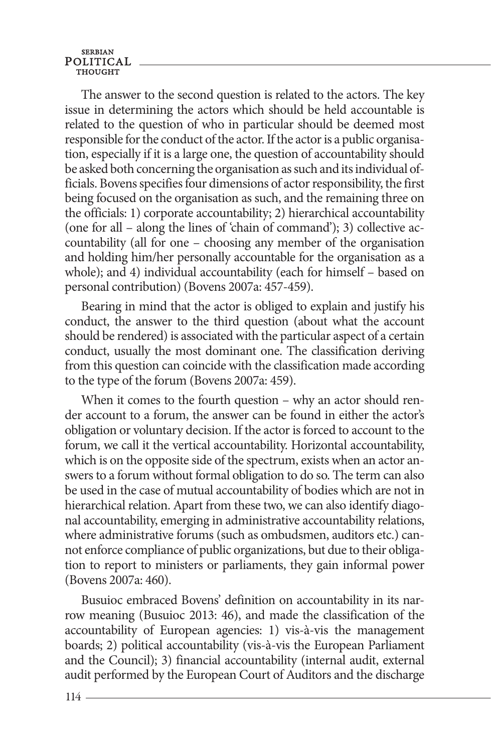The answer to the second question is related to the actors. The key issue in determining the actors which should be held accountable is related to the question of who in particular should be deemed most responsible for the conduct of the actor. If the actor is a public organisation, especially if it is a large one, the question of accountability should be asked both concerning the organisation as such and its individual officials. Bovens specifies four dimensions of actor responsibility, the first being focused on the organisation as such, and the remaining three on the officials: 1) corporate accountability; 2) hierarchical accountability (one for all – along the lines of 'chain of command'); 3) collective accountability (all for one – choosing any member of the organisation and holding him/her personally accountable for the organisation as a whole); and 4) individual accountability (each for himself – based on personal contribution) (Bovens 2007a: 457-459).

Bearing in mind that the actor is obliged to explain and justify his conduct, the answer to the third question (about what the account should be rendered) is associated with the particular aspect of a certain conduct, usually the most dominant one. The classification deriving from this question can coincide with the classification made according to the type of the forum (Bovens 2007a: 459).

When it comes to the fourth question – why an actor should render account to a forum, the answer can be found in either the actor's obligation or voluntary decision. If the actor is forced to account to the forum, we call it the vertical accountability. Horizontal accountability, which is on the opposite side of the spectrum, exists when an actor answers to a forum without formal obligation to do so. The term can also be used in the case of mutual accountability of bodies which are not in hierarchical relation. Apart from these two, we can also identify diagonal accountability, emerging in administrative accountability relations, where administrative forums (such as ombudsmen, auditors etc.) cannot enforce compliance of public organizations, but due to their obligation to report to ministers or parliaments, they gain informal power (Bovens 2007a: 460).

Busuioc embraced Bovens' definition on accountability in its narrow meaning (Busuioc 2013: 46), and made the classification of the accountability of European agencies: 1) vis-à-vis the management boards; 2) political accountability (vis-à-vis the European Parliament and the Council); 3) financial accountability (internal audit, external audit performed by the European Court of Auditors and the discharge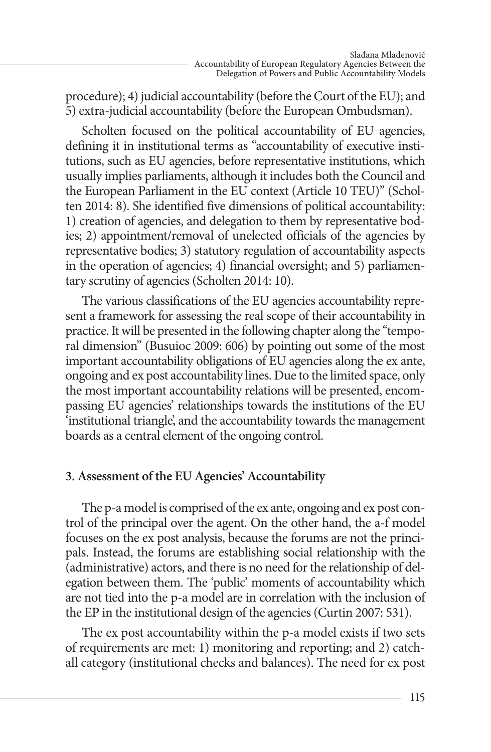procedure); 4) judicial accountability (before the Court of the EU); and 5) extra-judicial accountability (before the European Ombudsman).

Scholten focused on the political accountability of EU agencies, defining it in institutional terms as "accountability of executive institutions, such as EU agencies, before representative institutions, which usually implies parliaments, although it includes both the Council and the European Parliament in the EU context (Article 10 TEU)" (Scholten 2014: 8). She identified five dimensions of political accountability: 1) creation of agencies, and delegation to them by representative bodies; 2) appointment/removal of unelected officials of the agencies by representative bodies; 3) statutory regulation of accountability aspects in the operation of agencies; 4) financial oversight; and 5) parliamentary scrutiny of agencies (Scholten 2014: 10).

The various classifications of the EU agencies accountability represent a framework for assessing the real scope of their accountability in practice. It will be presented in the following chapter along the "temporal dimension" (Busuioc 2009: 606) by pointing out some of the most important accountability obligations of EU agencies along the ex ante, ongoing and ex post accountability lines. Due to the limited space, only the most important accountability relations will be presented, encompassing EU agencies' relationships towards the institutions of the EU 'institutional triangle', and the accountability towards the management boards as a central element of the ongoing control.

## **3. Assessment of the EU Agencies' Accountability**

The p-a model is comprised of the ex ante, ongoing and ex post control of the principal over the agent. On the other hand, the a-f model focuses on the ex post analysis, because the forums are not the principals. Instead, the forums are establishing social relationship with the (administrative) actors, and there is no need for the relationship of delegation between them. The 'public' moments of accountability which are not tied into the p-a model are in correlation with the inclusion of the EP in the institutional design of the agencies (Curtin 2007: 531).

The ex post accountability within the p-a model exists if two sets of requirements are met: 1) monitoring and reporting; and 2) catchall category (institutional checks and balances). The need for ex post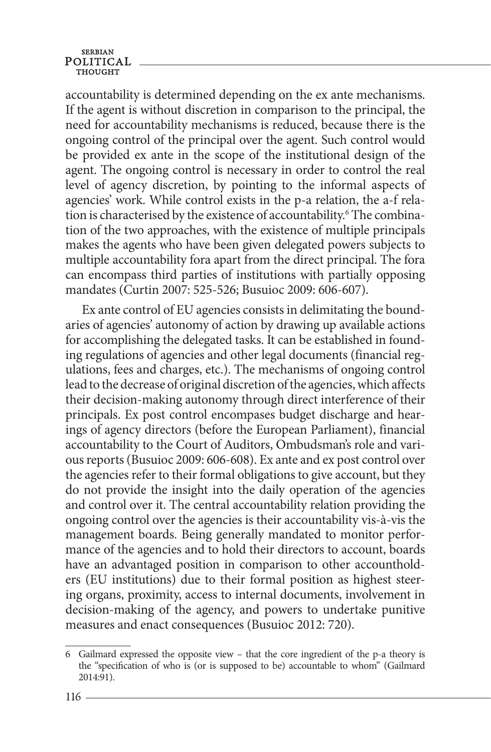accountability is determined depending on the ex ante mechanisms. If the agent is without discretion in comparison to the principal, the need for accountability mechanisms is reduced, because there is the ongoing control of the principal over the agent. Such control would be provided ex ante in the scope of the institutional design of the agent. The ongoing control is necessary in order to control the real level of agency discretion, by pointing to the informal aspects of agencies' work. While control exists in the p-a relation, the a-f relation is characterised by the existence of accountability.<sup>6</sup> The combination of the two approaches, with the existence of multiple principals makes the agents who have been given delegated powers subjects to multiple accountability fora apart from the direct principal. The fora can encompass third parties of institutions with partially opposing mandates (Curtin 2007: 525-526; Busuioc 2009: 606-607).

Ex ante control of EU agencies consists in delimitating the boundaries of agencies' autonomy of action by drawing up available actions for accomplishing the delegated tasks. It can be established in founding regulations of agencies and other legal documents (financial regulations, fees and charges, etc.). The mechanisms of ongoing control lead to the decrease of original discretion of the agencies, which affects their decision-making autonomy through direct interference of their principals. Ex post control encompases budget discharge and hearings of agency directors (before the European Parliament), financial accountability to the Court of Auditors, Ombudsman's role and various reports (Busuioc 2009: 606-608). Ex ante and ex post control over the agencies refer to their formal obligations to give account, but they do not provide the insight into the daily operation of the agencies and control over it. The central accountability relation providing the ongoing control over the agencies is their accountability vis-à-vis the management boards. Being generally mandated to monitor performance of the agencies and to hold their directors to account, boards have an advantaged position in comparison to other accountholders (EU institutions) due to their formal position as highest steering organs, proximity, access to internal documents, involvement in decision-making of the agency, and powers to undertake punitive measures and enact consequences (Busuioc 2012: 720).

<sup>6</sup> Gailmard expressed the opposite view – that the core ingredient of the p-a theory is the "specification of who is (or is supposed to be) accountable to whom" (Gailmard 2014:91).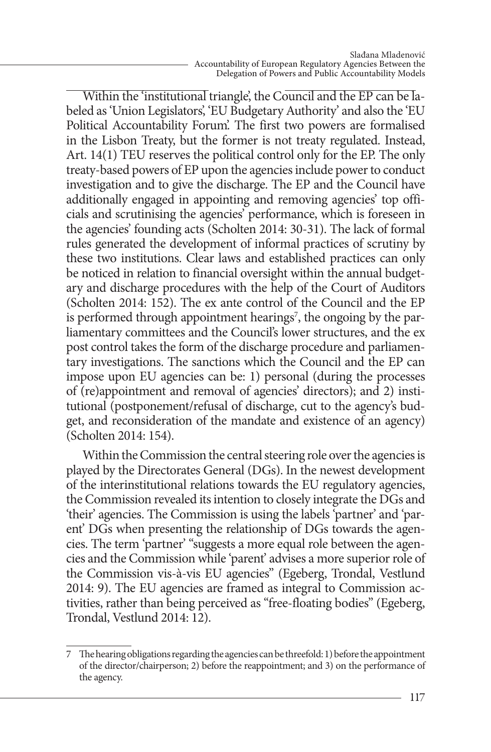Within the 'institutional triangle', the Council and the EP can be labeled as 'Union Legislators', 'EU Budgetary Authority' and also the 'EU Political Accountability Forum'. The first two powers are formalised in the Lisbon Treaty, but the former is not treaty regulated. Instead, Art. 14(1) TEU reserves the political control only for the EP. The only treaty-based powers of EP upon the agencies include power to conduct investigation and to give the discharge. The EP and the Council have additionally engaged in appointing and removing agencies' top officials and scrutinising the agencies' performance, which is foreseen in the agencies' founding acts (Scholten 2014: 30-31). The lack of formal rules generated the development of informal practices of scrutiny by these two institutions. Clear laws and established practices can only be noticed in relation to financial oversight within the annual budgetary and discharge procedures with the help of the Court of Auditors (Scholten 2014: 152). The ex ante control of the Council and the EP is performed through appointment hearings<sup>7</sup>, the ongoing by the parliamentary committees and the Council's lower structures, and the ex post control takes the form of the discharge procedure and parliamentary investigations. The sanctions which the Council and the EP can impose upon EU agencies can be: 1) personal (during the processes of (re)appointment and removal of agencies' directors); and 2) institutional (postponement/refusal of discharge, cut to the agency's budget, and reconsideration of the mandate and existence of an agency) (Scholten 2014: 154).

Within the Commission the central steering role over the agencies is played by the Directorates General (DGs). In the newest development of the interinstitutional relations towards the EU regulatory agencies, the Commission revealed its intention to closely integrate the DGs and 'their' agencies. The Commission is using the labels 'partner' and 'parent' DGs when presenting the relationship of DGs towards the agencies. The term 'partner' "suggests a more equal role between the agencies and the Commission while 'parent' advises a more superior role of the Commission vis-à-vis EU agencies" (Egeberg, Trondal, Vestlund 2014: 9). The EU agencies are framed as integral to Commission activities, rather than being perceived as "free-floating bodies" (Egeberg, Trondal, Vestlund 2014: 12).

<sup>7</sup> The hearing obligations regarding the agencies can be threefold: 1) before the appointment of the director/chairperson; 2) before the reappointment; and 3) on the performance of the agency.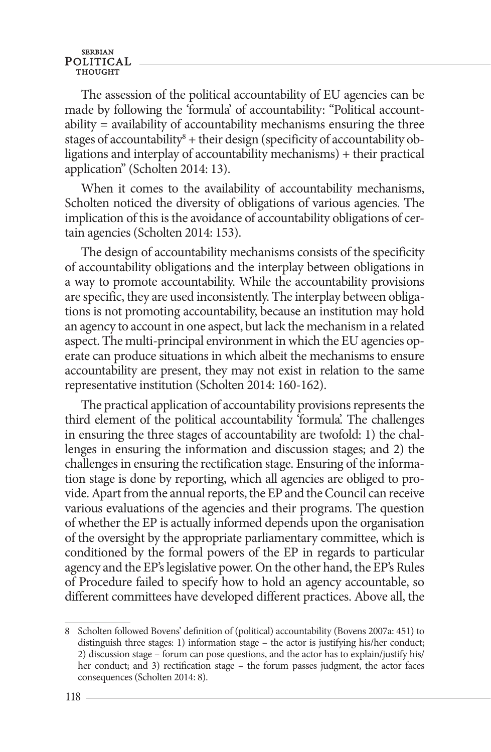The assession of the political accountability of EU agencies can be made by following the 'formula' of accountability: "Political accountability = availability of accountability mechanisms ensuring the three stages of accountability<sup>8</sup> + their design (specificity of accountability obligations and interplay of accountability mechanisms) + their practical application" (Scholten 2014: 13).

When it comes to the availability of accountability mechanisms, Scholten noticed the diversity of obligations of various agencies. The implication of this is the avoidance of accountability obligations of certain agencies (Scholten 2014: 153).

The design of accountability mechanisms consists of the specificity of accountability obligations and the interplay between obligations in a way to promote accountability. While the accountability provisions are specific, they are used inconsistently. The interplay between obligations is not promoting accountability, because an institution may hold an agency to account in one aspect, but lack the mechanism in a related aspect. The multi-principal environment in which the EU agencies operate can produce situations in which albeit the mechanisms to ensure accountability are present, they may not exist in relation to the same representative institution (Scholten 2014: 160-162).

The practical application of accountability provisions represents the third element of the political accountability 'formula'. The challenges in ensuring the three stages of accountability are twofold: 1) the challenges in ensuring the information and discussion stages; and 2) the challenges in ensuring the rectification stage. Ensuring of the information stage is done by reporting, which all agencies are obliged to provide. Apart from the annual reports, the EP and the Council can receive various evaluations of the agencies and their programs. The question of whether the EP is actually informed depends upon the organisation of the oversight by the appropriate parliamentary committee, which is conditioned by the formal powers of the EP in regards to particular agency and the EP's legislative power. On the other hand, the EP's Rules of Procedure failed to specify how to hold an agency accountable, so different committees have developed different practices. Above all, the

<sup>8</sup> Scholten followed Bovens' definition of (political) accountability (Bovens 2007a: 451) to distinguish three stages: 1) information stage – the actor is justifying his/her conduct; 2) discussion stage – forum can pose questions, and the actor has to explain/justify his/ her conduct; and 3) rectification stage – the forum passes judgment, the actor faces consequences (Scholten 2014: 8).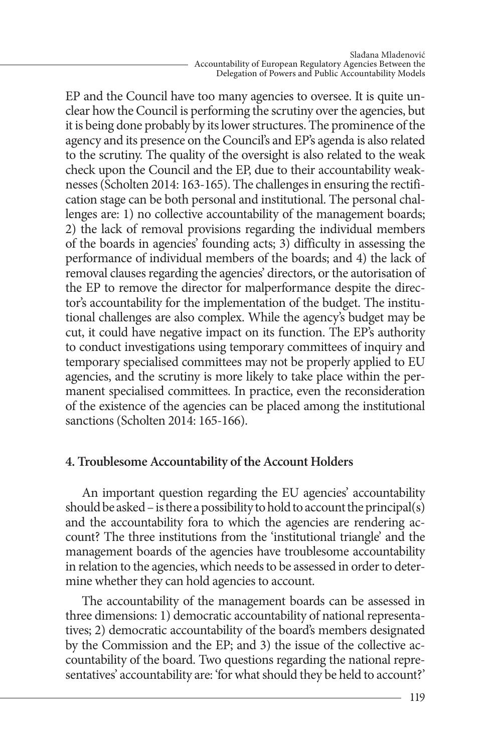EP and the Council have too many agencies to oversee. It is quite unclear how the Council is performing the scrutiny over the agencies, but it is being done probably by its lower structures. The prominence of the agency and its presence on the Council's and EP's agenda is also related to the scrutiny. The quality of the oversight is also related to the weak check upon the Council and the EP, due to their accountability weaknesses (Scholten 2014: 163-165). The challenges in ensuring the rectification stage can be both personal and institutional. The personal challenges are: 1) no collective accountability of the management boards; 2) the lack of removal provisions regarding the individual members of the boards in agencies' founding acts; 3) difficulty in assessing the performance of individual members of the boards; and 4) the lack of removal clauses regarding the agencies' directors, or the autorisation of the EP to remove the director for malperformance despite the director's accountability for the implementation of the budget. The institutional challenges are also complex. While the agency's budget may be cut, it could have negative impact on its function. The EP's authority to conduct investigations using temporary committees of inquiry and temporary specialised committees may not be properly applied to EU agencies, and the scrutiny is more likely to take place within the permanent specialised committees. In practice, even the reconsideration of the existence of the agencies can be placed among the institutional sanctions (Scholten 2014: 165-166).

## **4. Troublesome Accountability of the Account Holders**

An important question regarding the EU agencies' accountability should be asked – is there a possibility to hold to account the principal(s) and the accountability fora to which the agencies are rendering account? The three institutions from the 'institutional triangle' and the management boards of the agencies have troublesome accountability in relation to the agencies, which needs to be assessed in order to determine whether they can hold agencies to account.

The accountability of the management boards can be assessed in three dimensions: 1) democratic accountability of national representatives; 2) democratic accountability of the board's members designated by the Commission and the EP; and 3) the issue of the collective accountability of the board. Two questions regarding the national representatives' accountability are: 'for what should they be held to account?'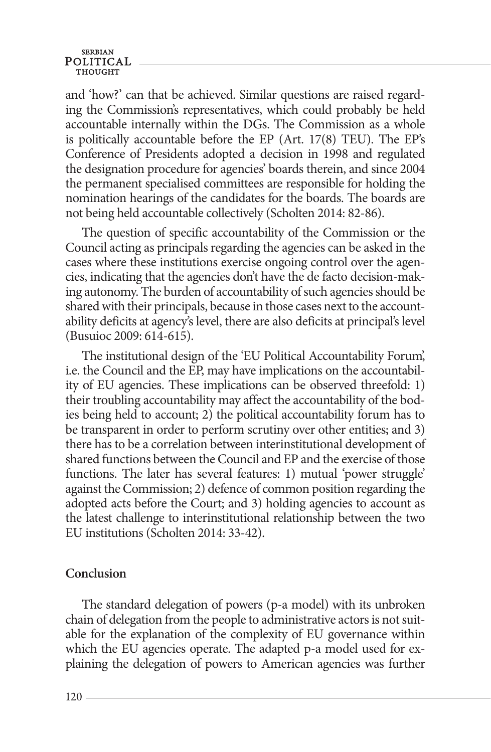## **SERBIAN** POLITICAL

and 'how?' can that be achieved. Similar questions are raised regarding the Commission's representatives, which could probably be held accountable internally within the DGs. The Commission as a whole is politically accountable before the EP (Art. 17(8) TEU). The EP's Conference of Presidents adopted a decision in 1998 and regulated the designation procedure for agencies' boards therein, and since 2004 the permanent specialised committees are responsible for holding the nomination hearings of the candidates for the boards. The boards are not being held accountable collectively (Scholten 2014: 82-86).

The question of specific accountability of the Commission or the Council acting as principals regarding the agencies can be asked in the cases where these institutions exercise ongoing control over the agencies, indicating that the agencies don't have the de facto decision-making autonomy. The burden of accountability of such agencies should be shared with their principals, because in those cases next to the accountability deficits at agency's level, there are also deficits at principal's level (Busuioc 2009: 614-615).

The institutional design of the 'EU Political Accountability Forum', i.e. the Council and the EP, may have implications on the accountability of EU agencies. These implications can be observed threefold: 1) their troubling accountability may affect the accountability of the bodies being held to account; 2) the political accountability forum has to be transparent in order to perform scrutiny over other entities; and 3) there has to be a correlation between interinstitutional development of shared functions between the Council and EP and the exercise of those functions. The later has several features: 1) mutual 'power struggle' against the Commission; 2) defence of common position regarding the adopted acts before the Court; and 3) holding agencies to account as the latest challenge to interinstitutional relationship between the two EU institutions (Scholten 2014: 33-42).

### **Conclusion**

The standard delegation of powers (p-a model) with its unbroken chain of delegation from the people to administrative actors is not suitable for the explanation of the complexity of EU governance within which the EU agencies operate. The adapted p-a model used for explaining the delegation of powers to American agencies was further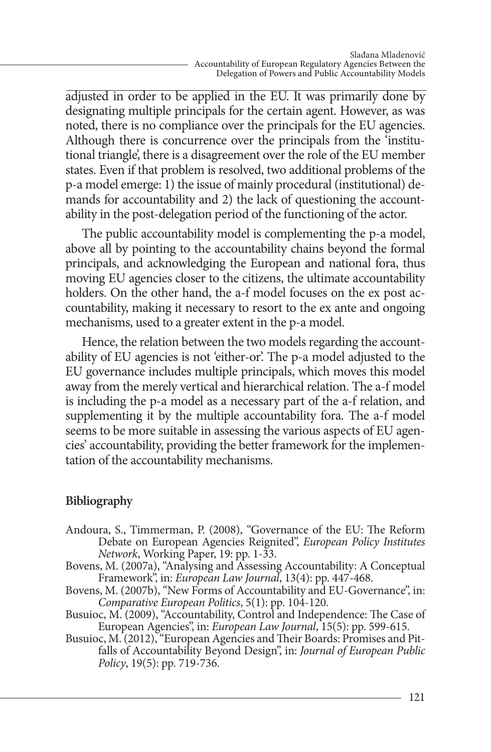adjusted in order to be applied in the EU. It was primarily done by designating multiple principals for the certain agent. However, as was noted, there is no compliance over the principals for the EU agencies. Although there is concurrence over the principals from the 'institutional triangle', there is a disagreement over the role of the EU member states. Even if that problem is resolved, two additional problems of the p-a model emerge: 1) the issue of mainly procedural (institutional) demands for accountability and 2) the lack of questioning the accountability in the post-delegation period of the functioning of the actor.

The public accountability model is complementing the p-a model, above all by pointing to the accountability chains beyond the formal principals, and acknowledging the European and national fora, thus moving EU agencies closer to the citizens, the ultimate accountability holders. On the other hand, the a-f model focuses on the ex post accountability, making it necessary to resort to the ex ante and ongoing mechanisms, used to a greater extent in the p-a model.

Hence, the relation between the two models regarding the accountability of EU agencies is not 'either-or'. The p-a model adjusted to the EU governance includes multiple principals, which moves this model away from the merely vertical and hierarchical relation. The a-f model is including the p-a model as a necessary part of the a-f relation, and supplementing it by the multiple accountability fora. The a-f model seems to be more suitable in assessing the various aspects of EU agencies' accountability, providing the better framework for the implementation of the accountability mechanisms.

## **Bibliography**

- Andoura, S., Timmerman, P. (2008), "Governance of the EU: The Reform Debate on European Agencies Reignited", *European Policy Institutes Network*, Working Paper, 19: pp. 1-33.
- Bovens, M. (2007a), "Analysing and Assessing Accountability: A Conceptual Framework", in: *European Law Journal*, 13(4): pp. 447-468.
- Bovens, M. (2007b), "New Forms of Accountability and EU-Governance", in: *Comparative European Politics*, 5(1): pp. 104-120.
- Busuioc, M. (2009), "Accountability, Control and Independence: The Case of
- European Agencies", in: *European Law Journal*, 15(5): pp. 599-615. falls of Accountability Beyond Design", in: *Journal of European Public Policy*, 19(5): pp. 719-736.